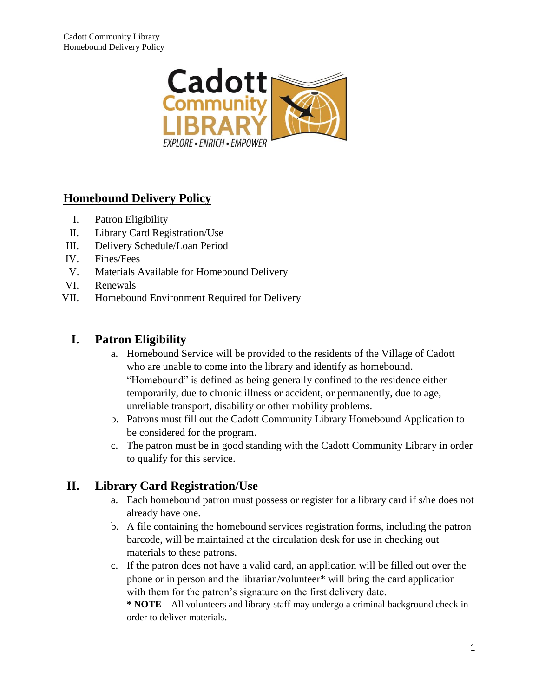

# **Homebound Delivery Policy**

- I. Patron Eligibility
- II. Library Card Registration/Use
- III. Delivery Schedule/Loan Period
- IV. Fines/Fees
- V. Materials Available for Homebound Delivery
- VI. Renewals
- VII. Homebound Environment Required for Delivery

## **I. Patron Eligibility**

- a. Homebound Service will be provided to the residents of the Village of Cadott who are unable to come into the library and identify as homebound. "Homebound" is defined as being generally confined to the residence either temporarily, due to chronic illness or accident, or permanently, due to age, unreliable transport, disability or other mobility problems.
- b. Patrons must fill out the Cadott Community Library Homebound Application to be considered for the program.
- c. The patron must be in good standing with the Cadott Community Library in order to qualify for this service.

# **II. Library Card Registration/Use**

- a. Each homebound patron must possess or register for a library card if s/he does not already have one.
- b. A file containing the homebound services registration forms, including the patron barcode, will be maintained at the circulation desk for use in checking out materials to these patrons.
- c. If the patron does not have a valid card, an application will be filled out over the phone or in person and the librarian/volunteer\* will bring the card application with them for the patron's signature on the first delivery date.

**\* NOTE –** All volunteers and library staff may undergo a criminal background check in order to deliver materials.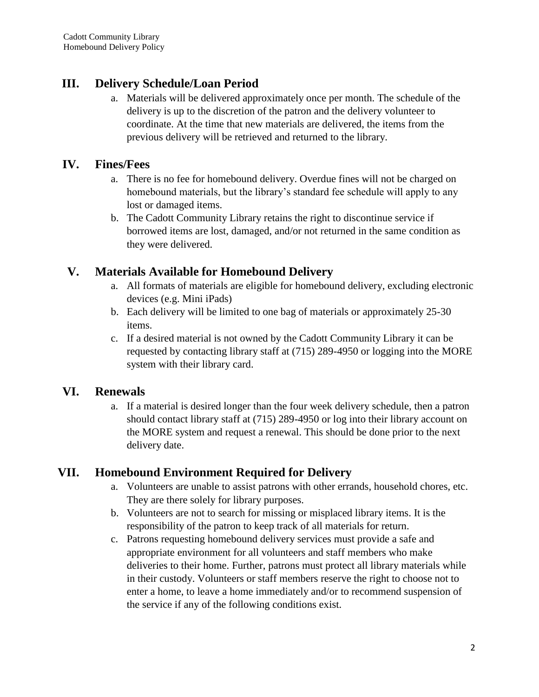## **III. Delivery Schedule/Loan Period**

a. Materials will be delivered approximately once per month. The schedule of the delivery is up to the discretion of the patron and the delivery volunteer to coordinate. At the time that new materials are delivered, the items from the previous delivery will be retrieved and returned to the library.

#### **IV. Fines/Fees**

- a. There is no fee for homebound delivery. Overdue fines will not be charged on homebound materials, but the library's standard fee schedule will apply to any lost or damaged items.
- b. The Cadott Community Library retains the right to discontinue service if borrowed items are lost, damaged, and/or not returned in the same condition as they were delivered.

### **V. Materials Available for Homebound Delivery**

- a. All formats of materials are eligible for homebound delivery, excluding electronic devices (e.g. Mini iPads)
- b. Each delivery will be limited to one bag of materials or approximately 25-30 items.
- c. If a desired material is not owned by the Cadott Community Library it can be requested by contacting library staff at (715) 289-4950 or logging into the MORE system with their library card.

#### **VI. Renewals**

a. If a material is desired longer than the four week delivery schedule, then a patron should contact library staff at (715) 289-4950 or log into their library account on the MORE system and request a renewal. This should be done prior to the next delivery date.

#### **VII. Homebound Environment Required for Delivery**

- a. Volunteers are unable to assist patrons with other errands, household chores, etc. They are there solely for library purposes.
- b. Volunteers are not to search for missing or misplaced library items. It is the responsibility of the patron to keep track of all materials for return.
- c. Patrons requesting homebound delivery services must provide a safe and appropriate environment for all volunteers and staff members who make deliveries to their home. Further, patrons must protect all library materials while in their custody. Volunteers or staff members reserve the right to choose not to enter a home, to leave a home immediately and/or to recommend suspension of the service if any of the following conditions exist.